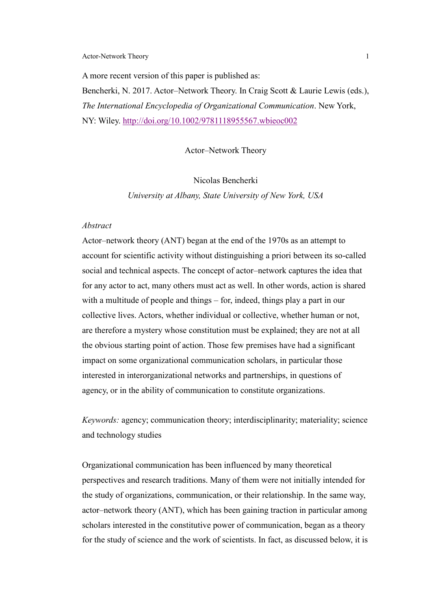A more recent version of this paper is published as: Bencherki, N. 2017. Actor–Network Theory. In Craig Scott & Laurie Lewis (eds.), *The International Encyclopedia of Organizational Communication*. New York, NY: Wiley.<http://doi.org/10.1002/9781118955567.wbieoc002>

Actor–Network Theory

Nicolas Bencherki

*University at Albany, State University of New York, USA*

### *Abstract*

Actor–network theory (ANT) began at the end of the 1970s as an attempt to account for scientific activity without distinguishing a priori between its so-called social and technical aspects. The concept of actor–network captures the idea that for any actor to act, many others must act as well. In other words, action is shared with a multitude of people and things – for, indeed, things play a part in our collective lives. Actors, whether individual or collective, whether human or not, are therefore a mystery whose constitution must be explained; they are not at all the obvious starting point of action. Those few premises have had a significant impact on some organizational communication scholars, in particular those interested in interorganizational networks and partnerships, in questions of agency, or in the ability of communication to constitute organizations.

*Keywords:* agency; communication theory; interdisciplinarity; materiality; science and technology studies

Organizational communication has been influenced by many theoretical perspectives and research traditions. Many of them were not initially intended for the study of organizations, communication, or their relationship. In the same way, actor–network theory (ANT), which has been gaining traction in particular among scholars interested in the constitutive power of communication, began as a theory for the study of science and the work of scientists. In fact, as discussed below, it is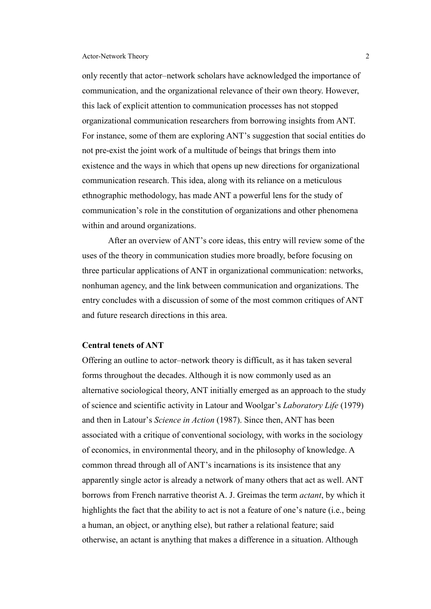only recently that actor–network scholars have acknowledged the importance of communication, and the organizational relevance of their own theory. However, this lack of explicit attention to communication processes has not stopped organizational communication researchers from borrowing insights from ANT. For instance, some of them are exploring ANT's suggestion that social entities do not pre-exist the joint work of a multitude of beings that brings them into existence and the ways in which that opens up new directions for organizational communication research. This idea, along with its reliance on a meticulous ethnographic methodology, has made ANT a powerful lens for the study of communication's role in the constitution of organizations and other phenomena within and around organizations.

After an overview of ANT's core ideas, this entry will review some of the uses of the theory in communication studies more broadly, before focusing on three particular applications of ANT in organizational communication: networks, nonhuman agency, and the link between communication and organizations. The entry concludes with a discussion of some of the most common critiques of ANT and future research directions in this area.

## **Central tenets of ANT**

Offering an outline to actor–network theory is difficult, as it has taken several forms throughout the decades. Although it is now commonly used as an alternative sociological theory, ANT initially emerged as an approach to the study of science and scientific activity in Latour and Woolgar's *Laboratory Life* (1979) and then in Latour's *Science in Action* (1987). Since then, ANT has been associated with a critique of conventional sociology, with works in the sociology of economics, in environmental theory, and in the philosophy of knowledge. A common thread through all of ANT's incarnations is its insistence that any apparently single actor is already a network of many others that act as well. ANT borrows from French narrative theorist A. J. Greimas the term *actant*, by which it highlights the fact that the ability to act is not a feature of one's nature (i.e., being a human, an object, or anything else), but rather a relational feature; said otherwise, an actant is anything that makes a difference in a situation. Although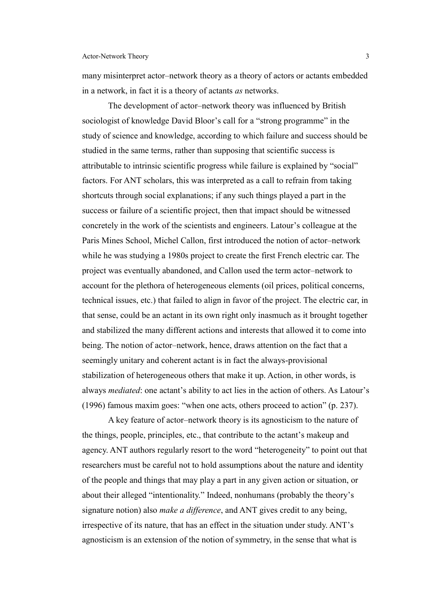many misinterpret actor–network theory as a theory of actors or actants embedded in a network, in fact it is a theory of actants *as* networks.

The development of actor–network theory was influenced by British sociologist of knowledge David Bloor's call for a "strong programme" in the study of science and knowledge, according to which failure and success should be studied in the same terms, rather than supposing that scientific success is attributable to intrinsic scientific progress while failure is explained by "social" factors. For ANT scholars, this was interpreted as a call to refrain from taking shortcuts through social explanations; if any such things played a part in the success or failure of a scientific project, then that impact should be witnessed concretely in the work of the scientists and engineers. Latour's colleague at the Paris Mines School, Michel Callon, first introduced the notion of actor–network while he was studying a 1980s project to create the first French electric car. The project was eventually abandoned, and Callon used the term actor–network to account for the plethora of heterogeneous elements (oil prices, political concerns, technical issues, etc.) that failed to align in favor of the project. The electric car, in that sense, could be an actant in its own right only inasmuch as it brought together and stabilized the many different actions and interests that allowed it to come into being. The notion of actor–network, hence, draws attention on the fact that a seemingly unitary and coherent actant is in fact the always-provisional stabilization of heterogeneous others that make it up. Action, in other words, is always *mediated*: one actant's ability to act lies in the action of others. As Latour's (1996) famous maxim goes: "when one acts, others proceed to action" (p. 237).

A key feature of actor–network theory is its agnosticism to the nature of the things, people, principles, etc., that contribute to the actant's makeup and agency. ANT authors regularly resort to the word "heterogeneity" to point out that researchers must be careful not to hold assumptions about the nature and identity of the people and things that may play a part in any given action or situation, or about their alleged "intentionality." Indeed, nonhumans (probably the theory's signature notion) also *make a difference*, and ANT gives credit to any being, irrespective of its nature, that has an effect in the situation under study. ANT's agnosticism is an extension of the notion of symmetry, in the sense that what is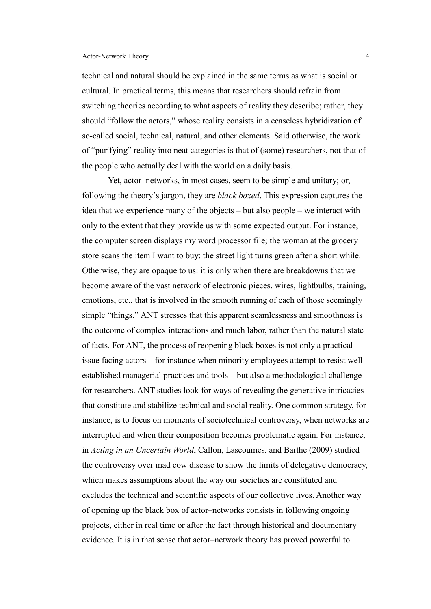technical and natural should be explained in the same terms as what is social or cultural. In practical terms, this means that researchers should refrain from switching theories according to what aspects of reality they describe; rather, they should "follow the actors," whose reality consists in a ceaseless hybridization of so-called social, technical, natural, and other elements. Said otherwise, the work of "purifying" reality into neat categories is that of (some) researchers, not that of the people who actually deal with the world on a daily basis.

Yet, actor–networks, in most cases, seem to be simple and unitary; or, following the theory's jargon, they are *black boxed*. This expression captures the idea that we experience many of the objects – but also people – we interact with only to the extent that they provide us with some expected output. For instance, the computer screen displays my word processor file; the woman at the grocery store scans the item I want to buy; the street light turns green after a short while. Otherwise, they are opaque to us: it is only when there are breakdowns that we become aware of the vast network of electronic pieces, wires, lightbulbs, training, emotions, etc., that is involved in the smooth running of each of those seemingly simple "things." ANT stresses that this apparent seamlessness and smoothness is the outcome of complex interactions and much labor, rather than the natural state of facts. For ANT, the process of reopening black boxes is not only a practical issue facing actors – for instance when minority employees attempt to resist well established managerial practices and tools – but also a methodological challenge for researchers. ANT studies look for ways of revealing the generative intricacies that constitute and stabilize technical and social reality. One common strategy, for instance, is to focus on moments of sociotechnical controversy, when networks are interrupted and when their composition becomes problematic again. For instance, in *Acting in an Uncertain World*, Callon, Lascoumes, and Barthe (2009) studied the controversy over mad cow disease to show the limits of delegative democracy, which makes assumptions about the way our societies are constituted and excludes the technical and scientific aspects of our collective lives. Another way of opening up the black box of actor–networks consists in following ongoing projects, either in real time or after the fact through historical and documentary evidence. It is in that sense that actor–network theory has proved powerful to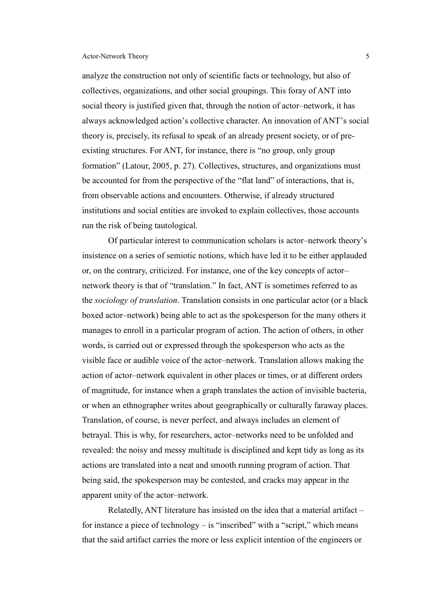analyze the construction not only of scientific facts or technology, but also of collectives, organizations, and other social groupings. This foray of ANT into social theory is justified given that, through the notion of actor–network, it has always acknowledged action's collective character. An innovation of ANT's social theory is, precisely, its refusal to speak of an already present society, or of preexisting structures. For ANT, for instance, there is "no group, only group formation" (Latour, 2005, p. 27). Collectives, structures, and organizations must be accounted for from the perspective of the "flat land" of interactions, that is, from observable actions and encounters. Otherwise, if already structured institutions and social entities are invoked to explain collectives, those accounts run the risk of being tautological.

Of particular interest to communication scholars is actor–network theory's insistence on a series of semiotic notions, which have led it to be either applauded or, on the contrary, criticized. For instance, one of the key concepts of actor– network theory is that of "translation." In fact, ANT is sometimes referred to as the *sociology of translation*. Translation consists in one particular actor (or a black boxed actor–network) being able to act as the spokesperson for the many others it manages to enroll in a particular program of action. The action of others, in other words, is carried out or expressed through the spokesperson who acts as the visible face or audible voice of the actor–network. Translation allows making the action of actor–network equivalent in other places or times, or at different orders of magnitude, for instance when a graph translates the action of invisible bacteria, or when an ethnographer writes about geographically or culturally faraway places. Translation, of course, is never perfect, and always includes an element of betrayal. This is why, for researchers, actor–networks need to be unfolded and revealed: the noisy and messy multitude is disciplined and kept tidy as long as its actions are translated into a neat and smooth running program of action. That being said, the spokesperson may be contested, and cracks may appear in the apparent unity of the actor–network.

Relatedly, ANT literature has insisted on the idea that a material artifact – for instance a piece of technology – is "inscribed" with a "script," which means that the said artifact carries the more or less explicit intention of the engineers or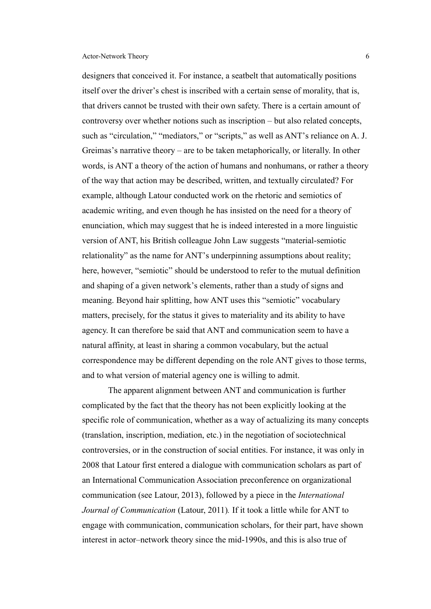designers that conceived it. For instance, a seatbelt that automatically positions itself over the driver's chest is inscribed with a certain sense of morality, that is, that drivers cannot be trusted with their own safety. There is a certain amount of controversy over whether notions such as inscription – but also related concepts, such as "circulation," "mediators," or "scripts," as well as ANT's reliance on A. J. Greimas's narrative theory – are to be taken metaphorically, or literally. In other words, is ANT a theory of the action of humans and nonhumans, or rather a theory of the way that action may be described, written, and textually circulated? For example, although Latour conducted work on the rhetoric and semiotics of academic writing, and even though he has insisted on the need for a theory of enunciation, which may suggest that he is indeed interested in a more linguistic version of ANT, his British colleague John Law suggests "material-semiotic relationality" as the name for ANT's underpinning assumptions about reality; here, however, "semiotic" should be understood to refer to the mutual definition and shaping of a given network's elements, rather than a study of signs and meaning. Beyond hair splitting, how ANT uses this "semiotic" vocabulary matters, precisely, for the status it gives to materiality and its ability to have agency. It can therefore be said that ANT and communication seem to have a natural affinity, at least in sharing a common vocabulary, but the actual correspondence may be different depending on the role ANT gives to those terms, and to what version of material agency one is willing to admit.

The apparent alignment between ANT and communication is further complicated by the fact that the theory has not been explicitly looking at the specific role of communication, whether as a way of actualizing its many concepts (translation, inscription, mediation, etc.) in the negotiation of sociotechnical controversies, or in the construction of social entities. For instance, it was only in 2008 that Latour first entered a dialogue with communication scholars as part of an International Communication Association preconference on organizational communication (see Latour, 2013), followed by a piece in the *International Journal of Communication* (Latour, 2011)*.* If it took a little while for ANT to engage with communication, communication scholars, for their part, have shown interest in actor–network theory since the mid-1990s, and this is also true of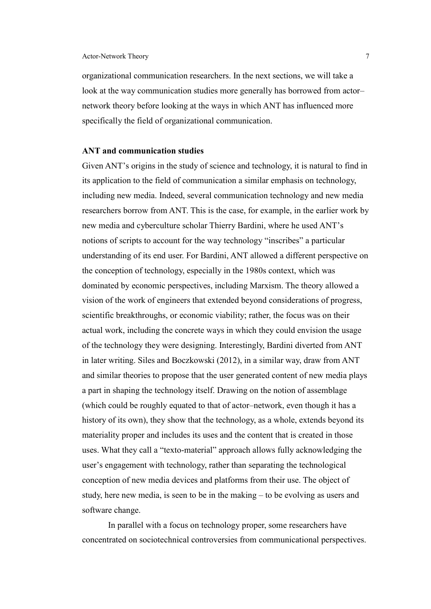organizational communication researchers. In the next sections, we will take a look at the way communication studies more generally has borrowed from actor– network theory before looking at the ways in which ANT has influenced more specifically the field of organizational communication.

### **ANT and communication studies**

Given ANT's origins in the study of science and technology, it is natural to find in its application to the field of communication a similar emphasis on technology, including new media. Indeed, several communication technology and new media researchers borrow from ANT. This is the case, for example, in the earlier work by new media and cyberculture scholar Thierry Bardini, where he used ANT's notions of scripts to account for the way technology "inscribes" a particular understanding of its end user. For Bardini, ANT allowed a different perspective on the conception of technology, especially in the 1980s context, which was dominated by economic perspectives, including Marxism. The theory allowed a vision of the work of engineers that extended beyond considerations of progress, scientific breakthroughs, or economic viability; rather, the focus was on their actual work, including the concrete ways in which they could envision the usage of the technology they were designing. Interestingly, Bardini diverted from ANT in later writing. Siles and Boczkowski (2012), in a similar way, draw from ANT and similar theories to propose that the user generated content of new media plays a part in shaping the technology itself. Drawing on the notion of assemblage (which could be roughly equated to that of actor–network, even though it has a history of its own), they show that the technology, as a whole, extends beyond its materiality proper and includes its uses and the content that is created in those uses. What they call a "texto-material" approach allows fully acknowledging the user's engagement with technology, rather than separating the technological conception of new media devices and platforms from their use. The object of study, here new media, is seen to be in the making – to be evolving as users and software change.

In parallel with a focus on technology proper, some researchers have concentrated on sociotechnical controversies from communicational perspectives.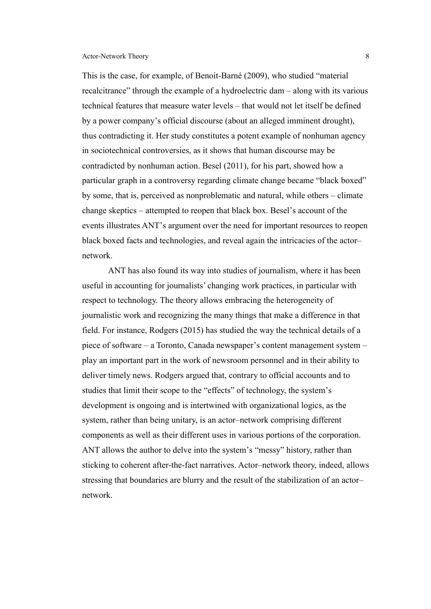This is the case, for example, of Benoit-Barné (2009), who studied "material recalcitrance" through the example of a hydroelectric dam – along with its various technical features that measure water levels – that would not let itself be defined by a power company's official discourse (about an alleged imminent drought), thus contradicting it. Her study constitutes a potent example of nonhuman agency in sociotechnical controversies, as it shows that human discourse may be contradicted by nonhuman action. Besel (2011), for his part, showed how a particular graph in a controversy regarding climate change became "black boxed" by some, that is, perceived as nonproblematic and natural, while others – climate change skeptics – attempted to reopen that black box. Besel's account of the events illustrates ANT's argument over the need for important resources to reopen black boxed facts and technologies, and reveal again the intricacies of the actor– network.

ANT has also found its way into studies of journalism, where it has been useful in accounting for journalists' changing work practices, in particular with respect to technology. The theory allows embracing the heterogeneity of journalistic work and recognizing the many things that make a difference in that field. For instance, Rodgers (2015) has studied the way the technical details of a piece of software – a Toronto, Canada newspaper's content management system – play an important part in the work of newsroom personnel and in their ability to deliver timely news. Rodgers argued that, contrary to official accounts and to studies that limit their scope to the "effects" of technology, the system's development is ongoing and is intertwined with organizational logics, as the system, rather than being unitary, is an actor–network comprising different components as well as their different uses in various portions of the corporation. ANT allows the author to delve into the system's "messy" history, rather than sticking to coherent after-the-fact narratives. Actor–network theory, indeed, allows stressing that boundaries are blurry and the result of the stabilization of an actor– network.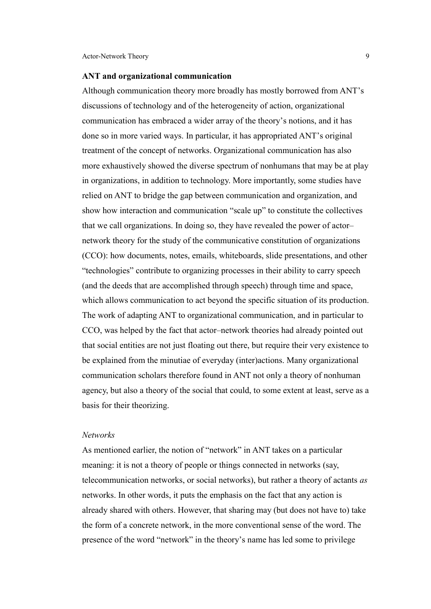### **ANT and organizational communication**

Although communication theory more broadly has mostly borrowed from ANT's discussions of technology and of the heterogeneity of action, organizational communication has embraced a wider array of the theory's notions, and it has done so in more varied ways. In particular, it has appropriated ANT's original treatment of the concept of networks. Organizational communication has also more exhaustively showed the diverse spectrum of nonhumans that may be at play in organizations, in addition to technology. More importantly, some studies have relied on ANT to bridge the gap between communication and organization, and show how interaction and communication "scale up" to constitute the collectives that we call organizations. In doing so, they have revealed the power of actor– network theory for the study of the communicative constitution of organizations (CCO): how documents, notes, emails, whiteboards, slide presentations, and other "technologies" contribute to organizing processes in their ability to carry speech (and the deeds that are accomplished through speech) through time and space, which allows communication to act beyond the specific situation of its production. The work of adapting ANT to organizational communication, and in particular to CCO, was helped by the fact that actor–network theories had already pointed out that social entities are not just floating out there, but require their very existence to be explained from the minutiae of everyday (inter)actions. Many organizational communication scholars therefore found in ANT not only a theory of nonhuman agency, but also a theory of the social that could, to some extent at least, serve as a basis for their theorizing.

## *Networks*

As mentioned earlier, the notion of "network" in ANT takes on a particular meaning: it is not a theory of people or things connected in networks (say, telecommunication networks, or social networks), but rather a theory of actants *as*  networks. In other words, it puts the emphasis on the fact that any action is already shared with others. However, that sharing may (but does not have to) take the form of a concrete network, in the more conventional sense of the word. The presence of the word "network" in the theory's name has led some to privilege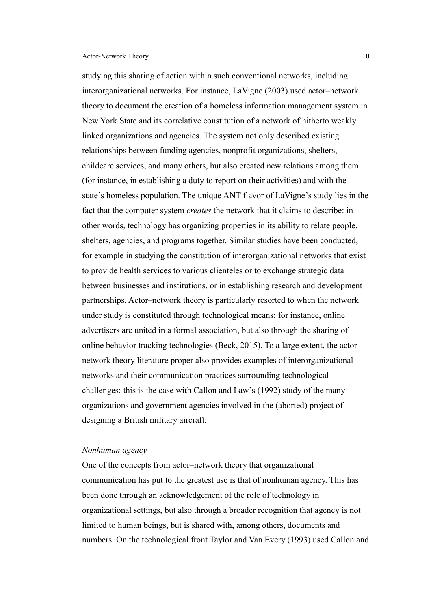studying this sharing of action within such conventional networks, including interorganizational networks. For instance, LaVigne (2003) used actor–network theory to document the creation of a homeless information management system in New York State and its correlative constitution of a network of hitherto weakly linked organizations and agencies. The system not only described existing relationships between funding agencies, nonprofit organizations, shelters, childcare services, and many others, but also created new relations among them (for instance, in establishing a duty to report on their activities) and with the state's homeless population. The unique ANT flavor of LaVigne's study lies in the fact that the computer system *creates* the network that it claims to describe: in other words, technology has organizing properties in its ability to relate people, shelters, agencies, and programs together. Similar studies have been conducted, for example in studying the constitution of interorganizational networks that exist to provide health services to various clienteles or to exchange strategic data between businesses and institutions, or in establishing research and development partnerships. Actor–network theory is particularly resorted to when the network under study is constituted through technological means: for instance, online advertisers are united in a formal association, but also through the sharing of online behavior tracking technologies (Beck, 2015). To a large extent, the actor– network theory literature proper also provides examples of interorganizational networks and their communication practices surrounding technological challenges: this is the case with Callon and Law's (1992) study of the many organizations and government agencies involved in the (aborted) project of designing a British military aircraft.

## *Nonhuman agency*

One of the concepts from actor–network theory that organizational communication has put to the greatest use is that of nonhuman agency. This has been done through an acknowledgement of the role of technology in organizational settings, but also through a broader recognition that agency is not limited to human beings, but is shared with, among others, documents and numbers. On the technological front Taylor and Van Every (1993) used Callon and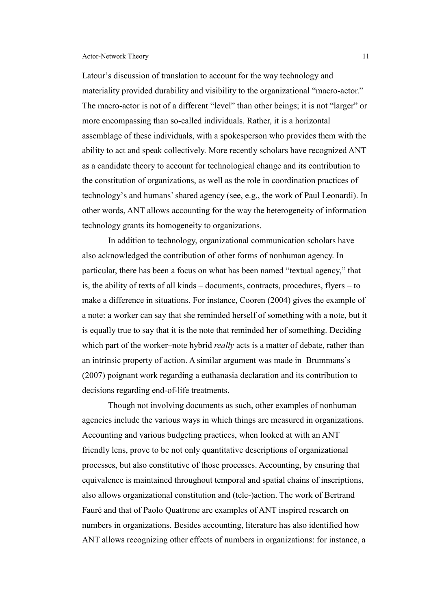Latour's discussion of translation to account for the way technology and materiality provided durability and visibility to the organizational "macro-actor." The macro-actor is not of a different "level" than other beings; it is not "larger" or more encompassing than so-called individuals. Rather, it is a horizontal assemblage of these individuals, with a spokesperson who provides them with the ability to act and speak collectively. More recently scholars have recognized ANT as a candidate theory to account for technological change and its contribution to the constitution of organizations, as well as the role in coordination practices of technology's and humans'shared agency (see, e.g., the work of Paul Leonardi). In other words, ANT allows accounting for the way the heterogeneity of information technology grants its homogeneity to organizations.

In addition to technology, organizational communication scholars have also acknowledged the contribution of other forms of nonhuman agency. In particular, there has been a focus on what has been named "textual agency," that is, the ability of texts of all kinds – documents, contracts, procedures, flyers – to make a difference in situations. For instance, Cooren (2004) gives the example of a note: a worker can say that she reminded herself of something with a note, but it is equally true to say that it is the note that reminded her of something. Deciding which part of the worker–note hybrid *really* acts is a matter of debate, rather than an intrinsic property of action. A similar argument was made in Brummans's (2007) poignant work regarding a euthanasia declaration and its contribution to decisions regarding end-of-life treatments.

Though not involving documents as such, other examples of nonhuman agencies include the various ways in which things are measured in organizations. Accounting and various budgeting practices, when looked at with an ANT friendly lens, prove to be not only quantitative descriptions of organizational processes, but also constitutive of those processes. Accounting, by ensuring that equivalence is maintained throughout temporal and spatial chains of inscriptions, also allows organizational constitution and (tele-)action. The work of Bertrand Fauré and that of Paolo Quattrone are examples of ANT inspired research on numbers in organizations. Besides accounting, literature has also identified how ANT allows recognizing other effects of numbers in organizations: for instance, a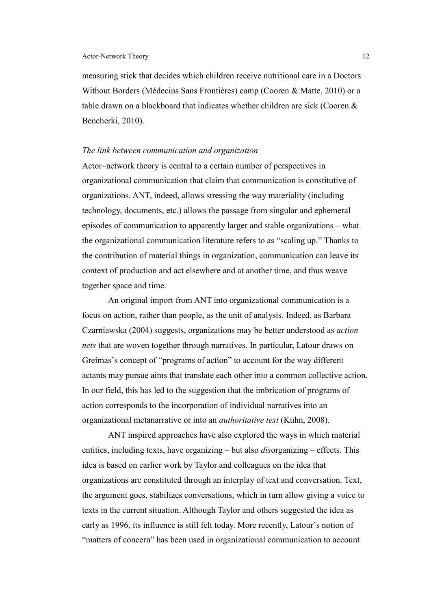measuring stick that decides which children receive nutritional care in a Doctors Without Borders (Médecins Sans Frontières) camp (Cooren & Matte, 2010) or a table drawn on a blackboard that indicates whether children are sick (Cooren & Bencherki, 2010).

### *The link between communication and organization*

Actor–network theory is central to a certain number of perspectives in organizational communication that claim that communication is constitutive of organizations. ANT, indeed, allows stressing the way materiality (including technology, documents, etc.) allows the passage from singular and ephemeral episodes of communication to apparently larger and stable organizations – what the organizational communication literature refers to as "scaling up." Thanks to the contribution of material things in organization, communication can leave its context of production and act elsewhere and at another time, and thus weave together space and time.

An original import from ANT into organizational communication is a focus on action, rather than people, as the unit of analysis. Indeed, as Barbara Czarniawska (2004) suggests, organizations may be better understood as *action nets* that are woven together through narratives. In particular, Latour draws on Greimas's concept of "programs of action" to account for the way different actants may pursue aims that translate each other into a common collective action. In our field, this has led to the suggestion that the imbrication of programs of action corresponds to the incorporation of individual narratives into an organizational metanarrative or into an *authoritative text* (Kuhn, 2008).

ANT inspired approaches have also explored the ways in which material entities, including texts, have organizing – but also *dis*organizing – effects. This idea is based on earlier work by Taylor and colleagues on the idea that organizations are constituted through an interplay of text and conversation. Text, the argument goes, stabilizes conversations, which in turn allow giving a voice to texts in the current situation. Although Taylor and others suggested the idea as early as 1996, its influence is still felt today. More recently, Latour's notion of "matters of concern" has been used in organizational communication to account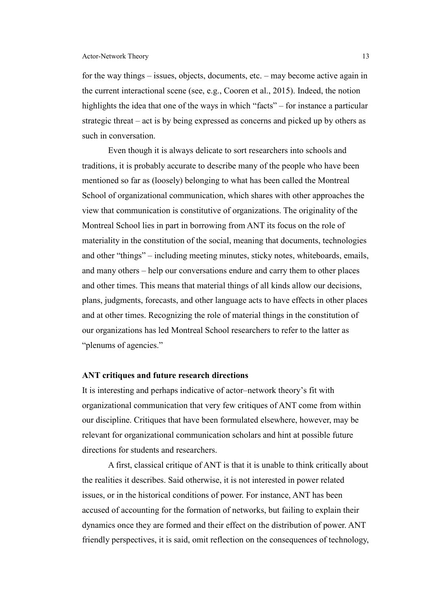for the way things – issues, objects, documents, etc. – may become active again in the current interactional scene (see, e.g., Cooren et al., 2015). Indeed, the notion highlights the idea that one of the ways in which "facts" – for instance a particular strategic threat – act is by being expressed as concerns and picked up by others as such in conversation.

Even though it is always delicate to sort researchers into schools and traditions, it is probably accurate to describe many of the people who have been mentioned so far as (loosely) belonging to what has been called the Montreal School of organizational communication, which shares with other approaches the view that communication is constitutive of organizations. The originality of the Montreal School lies in part in borrowing from ANT its focus on the role of materiality in the constitution of the social, meaning that documents, technologies and other "things" – including meeting minutes, sticky notes, whiteboards, emails, and many others – help our conversations endure and carry them to other places and other times. This means that material things of all kinds allow our decisions, plans, judgments, forecasts, and other language acts to have effects in other places and at other times. Recognizing the role of material things in the constitution of our organizations has led Montreal School researchers to refer to the latter as "plenums of agencies."

## **ANT critiques and future research directions**

It is interesting and perhaps indicative of actor–network theory's fit with organizational communication that very few critiques of ANT come from within our discipline. Critiques that have been formulated elsewhere, however, may be relevant for organizational communication scholars and hint at possible future directions for students and researchers.

A first, classical critique of ANT is that it is unable to think critically about the realities it describes. Said otherwise, it is not interested in power related issues, or in the historical conditions of power. For instance, ANT has been accused of accounting for the formation of networks, but failing to explain their dynamics once they are formed and their effect on the distribution of power. ANT friendly perspectives, it is said, omit reflection on the consequences of technology,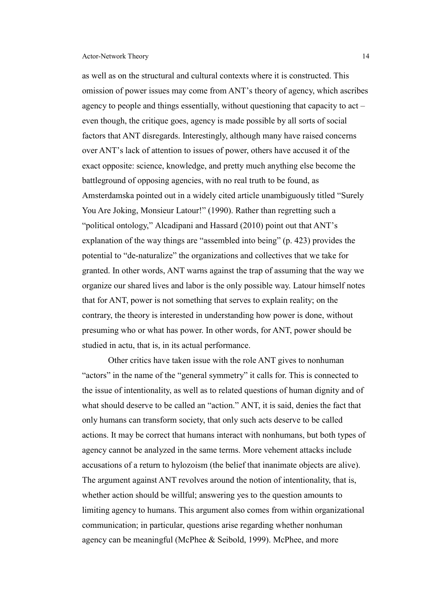as well as on the structural and cultural contexts where it is constructed. This omission of power issues may come from ANT's theory of agency, which ascribes agency to people and things essentially, without questioning that capacity to act – even though, the critique goes, agency is made possible by all sorts of social factors that ANT disregards. Interestingly, although many have raised concerns over ANT's lack of attention to issues of power, others have accused it of the exact opposite: science, knowledge, and pretty much anything else become the battleground of opposing agencies, with no real truth to be found, as Amsterdamska pointed out in a widely cited article unambiguously titled "Surely You Are Joking, Monsieur Latour!" (1990). Rather than regretting such a "political ontology," Alcadipani and Hassard (2010) point out that ANT's explanation of the way things are "assembled into being" (p. 423) provides the potential to "de-naturalize" the organizations and collectives that we take for granted. In other words, ANT warns against the trap of assuming that the way we organize our shared lives and labor is the only possible way. Latour himself notes that for ANT, power is not something that serves to explain reality; on the contrary, the theory is interested in understanding how power is done, without presuming who or what has power. In other words, for ANT, power should be studied in actu, that is, in its actual performance.

Other critics have taken issue with the role ANT gives to nonhuman "actors" in the name of the "general symmetry" it calls for. This is connected to the issue of intentionality, as well as to related questions of human dignity and of what should deserve to be called an "action." ANT, it is said, denies the fact that only humans can transform society, that only such acts deserve to be called actions. It may be correct that humans interact with nonhumans, but both types of agency cannot be analyzed in the same terms. More vehement attacks include accusations of a return to hylozoism (the belief that inanimate objects are alive). The argument against ANT revolves around the notion of intentionality, that is, whether action should be willful; answering yes to the question amounts to limiting agency to humans. This argument also comes from within organizational communication; in particular, questions arise regarding whether nonhuman agency can be meaningful (McPhee & Seibold, 1999). McPhee, and more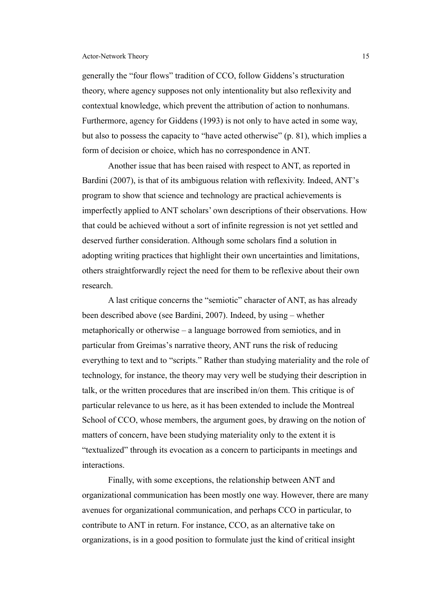generally the "four flows" tradition of CCO, follow Giddens's structuration theory, where agency supposes not only intentionality but also reflexivity and contextual knowledge, which prevent the attribution of action to nonhumans. Furthermore, agency for Giddens (1993) is not only to have acted in some way, but also to possess the capacity to "have acted otherwise" (p. 81), which implies a form of decision or choice, which has no correspondence in ANT.

Another issue that has been raised with respect to ANT, as reported in Bardini (2007), is that of its ambiguous relation with reflexivity. Indeed, ANT's program to show that science and technology are practical achievements is imperfectly applied to ANT scholars' own descriptions of their observations. How that could be achieved without a sort of infinite regression is not yet settled and deserved further consideration. Although some scholars find a solution in adopting writing practices that highlight their own uncertainties and limitations, others straightforwardly reject the need for them to be reflexive about their own research.

A last critique concerns the "semiotic" character of ANT, as has already been described above (see Bardini, 2007). Indeed, by using – whether metaphorically or otherwise – a language borrowed from semiotics, and in particular from Greimas's narrative theory, ANT runs the risk of reducing everything to text and to "scripts." Rather than studying materiality and the role of technology, for instance, the theory may very well be studying their description in talk, or the written procedures that are inscribed in/on them. This critique is of particular relevance to us here, as it has been extended to include the Montreal School of CCO, whose members, the argument goes, by drawing on the notion of matters of concern, have been studying materiality only to the extent it is "textualized" through its evocation as a concern to participants in meetings and interactions.

Finally, with some exceptions, the relationship between ANT and organizational communication has been mostly one way. However, there are many avenues for organizational communication, and perhaps CCO in particular, to contribute to ANT in return. For instance, CCO, as an alternative take on organizations, is in a good position to formulate just the kind of critical insight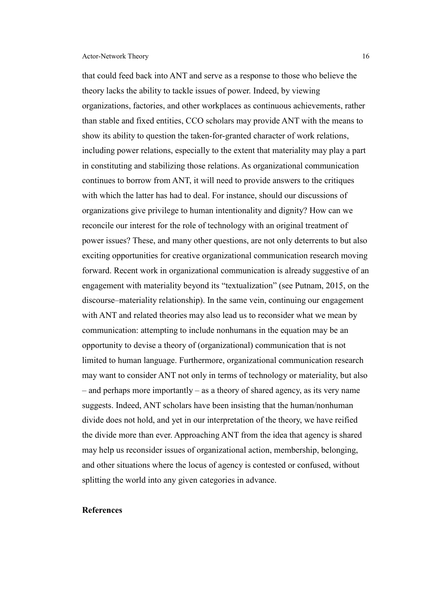that could feed back into ANT and serve as a response to those who believe the theory lacks the ability to tackle issues of power. Indeed, by viewing organizations, factories, and other workplaces as continuous achievements, rather than stable and fixed entities, CCO scholars may provide ANT with the means to show its ability to question the taken-for-granted character of work relations, including power relations, especially to the extent that materiality may play a part in constituting and stabilizing those relations. As organizational communication continues to borrow from ANT, it will need to provide answers to the critiques with which the latter has had to deal. For instance, should our discussions of organizations give privilege to human intentionality and dignity? How can we reconcile our interest for the role of technology with an original treatment of power issues? These, and many other questions, are not only deterrents to but also exciting opportunities for creative organizational communication research moving forward. Recent work in organizational communication is already suggestive of an engagement with materiality beyond its "textualization" (see Putnam, 2015, on the discourse–materiality relationship). In the same vein, continuing our engagement with ANT and related theories may also lead us to reconsider what we mean by communication: attempting to include nonhumans in the equation may be an opportunity to devise a theory of (organizational) communication that is not limited to human language. Furthermore, organizational communication research may want to consider ANT not only in terms of technology or materiality, but also – and perhaps more importantly – as a theory of shared agency, as its very name suggests. Indeed, ANT scholars have been insisting that the human/nonhuman divide does not hold, and yet in our interpretation of the theory, we have reified the divide more than ever. Approaching ANT from the idea that agency is shared may help us reconsider issues of organizational action, membership, belonging, and other situations where the locus of agency is contested or confused, without splitting the world into any given categories in advance.

# **References**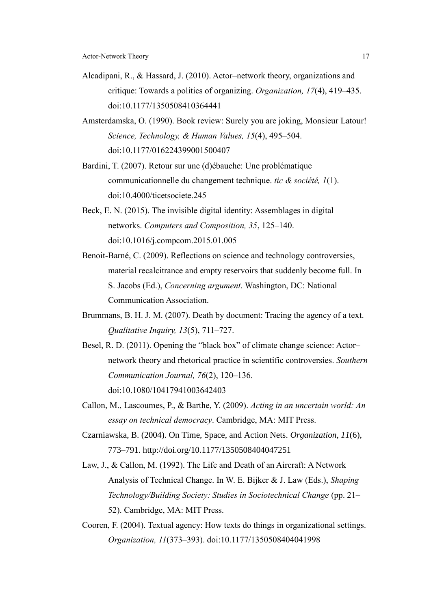- Alcadipani, R., & Hassard, J. (2010). Actor–network theory, organizations and critique: Towards a politics of organizing. *Organization, 17*(4), 419–435. doi:10.1177/1350508410364441
- Amsterdamska, O. (1990). Book review: Surely you are joking, Monsieur Latour! *Science, Technology, & Human Values, 15*(4), 495–504. doi:10.1177/016224399001500407
- Bardini, T. (2007). Retour sur une (d)ébauche: Une problématique communicationnelle du changement technique. *tic & société, 1*(1). doi:10.4000/ticetsociete.245
- Beck, E. N. (2015). The invisible digital identity: Assemblages in digital networks. *Computers and Composition, 35*, 125–140. doi:10.1016/j.compcom.2015.01.005
- Benoit-Barné, C. (2009). Reflections on science and technology controversies, material recalcitrance and empty reservoirs that suddenly become full. In S. Jacobs (Ed.), *Concerning argument*. Washington, DC: National Communication Association.
- Brummans, B. H. J. M. (2007). Death by document: Tracing the agency of a text. *Qualitative Inquiry, 13*(5), 711–727.
- Besel, R. D. (2011). Opening the "black box" of climate change science: Actor– network theory and rhetorical practice in scientific controversies. *Southern Communication Journal, 76*(2), 120–136. doi:10.1080/10417941003642403
- Callon, M., Lascoumes, P., & Barthe, Y. (2009). *Acting in an uncertain world: An essay on technical democracy*. Cambridge, MA: MIT Press.
- Czarniawska, B. (2004). On Time, Space, and Action Nets. *Organization*, *11*(6), 773–791. http://doi.org/10.1177/1350508404047251
- Law, J., & Callon, M. (1992). The Life and Death of an Aircraft: A Network Analysis of Technical Change. In W. E. Bijker & J. Law (Eds.), *Shaping Technology/Building Society: Studies in Sociotechnical Change* (pp. 21– 52). Cambridge, MA: MIT Press.
- Cooren, F. (2004). Textual agency: How texts do things in organizational settings. *Organization, 11*(373–393). doi:10.1177/1350508404041998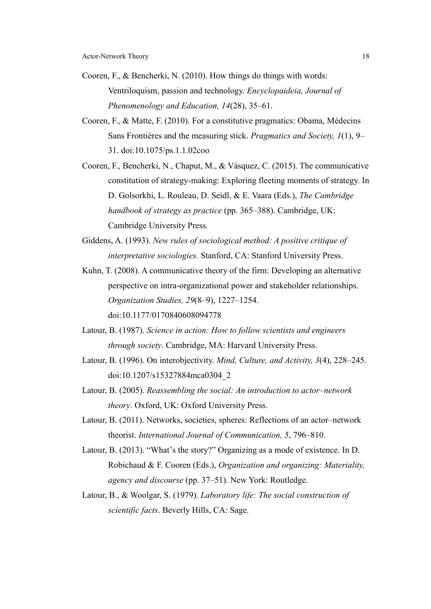- Cooren, F., & Bencherki, N. (2010). How things do things with words: Ventriloquism, passion and technology. *Encyclopaideia, Journal of Phenomenology and Education, 14*(28), 35–61.
- Cooren, F., & Matte, F. (2010). For a constitutive pragmatics: Obama, Médecins Sans Frontières and the measuring stick. *Pragmatics and Society, 1*(1), 9– 31. doi:10.1075/ps.1.1.02coo
- Cooren, F., Bencherki, N., Chaput, M., & Vásquez, C. (2015). The communicative constitution of strategy-making: Exploring fleeting moments of strategy. In D. Golsorkhi, L. Rouleau, D. Seidl, & E. Vaara (Eds.), *The Cambridge handbook of strategy as practice* (pp. 365–388). Cambridge, UK: Cambridge University Press.
- Giddens, A. (1993). *New rules of sociological method: A positive critique of interpretative sociologies.* Stanford, CA: Stanford University Press.
- Kuhn, T. (2008). A communicative theory of the firm: Developing an alternative perspective on intra-organizational power and stakeholder relationships. *Organization Studies, 29*(8–9), 1227–1254. doi:10.1177/0170840608094778
- Latour, B. (1987). *Science in action: How to follow scientists and engineers through society*. Cambridge, MA: Harvard University Press.
- Latour, B. (1996). On interobjectivity. *Mind, Culture, and Activity, 3*(4), 228–245. doi:10.1207/s15327884mca0304\_2
- Latour, B. (2005). *Reassembling the social: An introduction to actor–network theory*. Oxford, UK: Oxford University Press.
- Latour, B. (2011). Networks, societies, spheres: Reflections of an actor–network theorist. *International Journal of Communication, 5*, 796–810.
- Latour, B. (2013). "What's the story?" Organizing as a mode of existence. In D. Robichaud & F. Cooren (Eds.), *Organization and organizing: Materiality, agency and discourse* (pp. 37–51). New York: Routledge.
- Latour, B., & Woolgar, S. (1979). *Laboratory life: The social construction of scientific facts*. Beverly Hills, CA: Sage.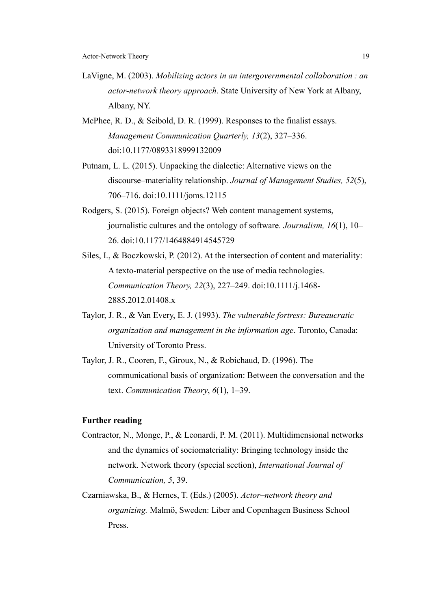- LaVigne, M. (2003). *Mobilizing actors in an intergovernmental collaboration : an actor-network theory approach*. State University of New York at Albany, Albany, NY.
- McPhee, R. D., & Seibold, D. R. (1999). Responses to the finalist essays. *Management Communication Quarterly, 13*(2), 327–336. doi:10.1177/0893318999132009
- Putnam, L. L. (2015). Unpacking the dialectic: Alternative views on the discourse–materiality relationship. *Journal of Management Studies, 52*(5), 706–716. doi:10.1111/joms.12115
- Rodgers, S. (2015). Foreign objects? Web content management systems, journalistic cultures and the ontology of software. *Journalism, 16*(1), 10– 26. doi:10.1177/1464884914545729
- Siles, I., & Boczkowski, P. (2012). At the intersection of content and materiality: A texto-material perspective on the use of media technologies. *Communication Theory, 22*(3), 227–249. doi:10.1111/j.1468- 2885.2012.01408.x
- Taylor, J. R., & Van Every, E. J. (1993). *The vulnerable fortress: Bureaucratic organization and management in the information age*. Toronto, Canada: University of Toronto Press.
- Taylor, J. R., Cooren, F., Giroux, N., & Robichaud, D. (1996). The communicational basis of organization: Between the conversation and the text. *Communication Theory*, *6*(1), 1–39.

### **Further reading**

- Contractor, N., Monge, P., & Leonardi, P. M. (2011). Multidimensional networks and the dynamics of sociomateriality: Bringing technology inside the network. Network theory (special section), *International Journal of Communication, 5*, 39.
- Czarniawska, B., & Hernes, T. (Eds.) (2005). *Actor–network theory and organizing.* Malmö, Sweden: Liber and Copenhagen Business School Press.